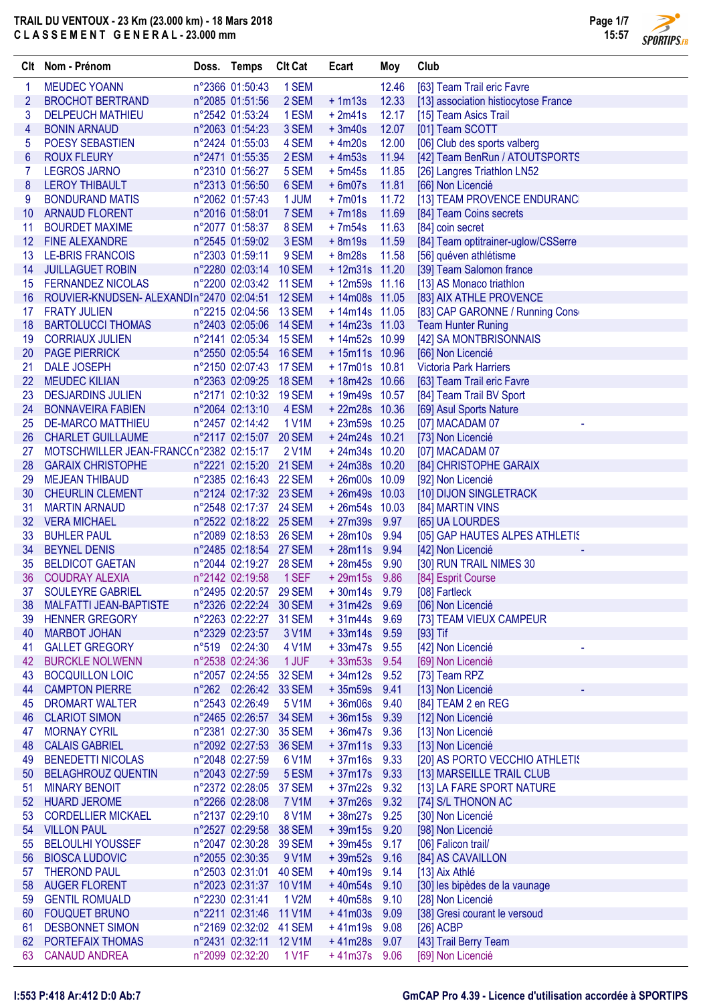

 $\sqrt{2}$ **SPORTIPS.FR** 

|                 | Clt Nom - Prénom                                  | Doss. Temps                                      | <b>Clt Cat</b> | Ecart                              | Moy          | Club                                                         |
|-----------------|---------------------------------------------------|--------------------------------------------------|----------------|------------------------------------|--------------|--------------------------------------------------------------|
| 1               | <b>MEUDEC YOANN</b>                               | n°2366 01:50:43                                  | 1 SEM          |                                    | 12.46        | [63] Team Trail eric Favre                                   |
| $\overline{2}$  | <b>BROCHOT BERTRAND</b>                           | n°2085 01:51:56                                  | 2 SEM          | $+1m13s$                           | 12.33        | [13] association histiocytose France                         |
| 3               | <b>DELPEUCH MATHIEU</b>                           | n°2542 01:53:24                                  | 1 ESM          | $+2m41s$                           | 12.17        | [15] Team Asics Trail                                        |
| 4               | <b>BONIN ARNAUD</b>                               | n°2063 01:54:23                                  | 3 SEM          | $+3m40s$                           | 12.07        | [01] Team SCOTT                                              |
| 5               | POESY SEBASTIEN                                   | n°2424 01:55:03                                  | 4 SEM          | $+4m20s$                           | 12.00        | [06] Club des sports valberg                                 |
| $6\phantom{1}6$ | <b>ROUX FLEURY</b>                                | n°2471 01:55:35                                  | 2 ESM          | $+4m53s$                           | 11.94        | [42] Team BenRun / ATOUTSPORTS                               |
| 7               | <b>LEGROS JARNO</b>                               | n°2310 01:56:27                                  | 5 SEM          | $+5m45s$                           | 11.85        | [26] Langres Triathlon LN52                                  |
| 8               | <b>LEROY THIBAULT</b>                             | n°2313 01:56:50                                  | 6 SEM          | $+6m07s$                           | 11.81        | [66] Non Licencié                                            |
| 9               | <b>BONDURAND MATIS</b>                            | n°2062 01:57:43                                  | 1 JUM          | $+7m01s$                           | 11.72        | [13] TEAM PROVENCE ENDURANC                                  |
| 10              | <b>ARNAUD FLORENT</b>                             | n°2016 01:58:01                                  | 7 SEM          | $+7m18s$                           | 11.69        | [84] Team Coins secrets                                      |
| 11              | <b>BOURDET MAXIME</b>                             | n°2077 01:58:37                                  | 8 SEM          | $+7m54s$                           | 11.63        | [84] coin secret                                             |
| 12              | <b>FINE ALEXANDRE</b>                             | n°2545 01:59:02                                  | 3 ESM          | $+8m19s$                           | 11.59        | [84] Team optitrainer-uglow/CSSerre                          |
| 13              | <b>LE-BRIS FRANCOIS</b>                           | n°2303 01:59:11                                  | 9 SEM          | $+8m28s$                           | 11.58        | [56] quéven athlétisme                                       |
| 14              | <b>JUILLAGUET ROBIN</b>                           | n°2280 02:03:14 10 SEM                           |                | $+12m31s$ 11.20                    |              | [39] Team Salomon france                                     |
| 15              | <b>FERNANDEZ NICOLAS</b>                          | n°2200 02:03:42 11 SEM                           |                | $+12m59s$ 11.16                    |              | [13] AS Monaco triathlon                                     |
| 16              | ROUVIER-KNUDSEN- ALEXANDIn°2470 02:04:51 12 SEM   |                                                  |                | $+14m08s$ 11.05<br>$+14m14s$ 11.05 |              | [83] AIX ATHLE PROVENCE                                      |
| 17<br>18        | <b>FRATY JULIEN</b><br><b>BARTOLUCCI THOMAS</b>   | n°2215 02:04:56 13 SEM<br>n°2403 02:05:06 14 SEM |                | $+14m23s$ 11.03                    |              | [83] CAP GARONNE / Running Cons<br><b>Team Hunter Runing</b> |
| 19              | <b>CORRIAUX JULIEN</b>                            | n°2141 02:05:34 15 SEM                           |                | +14m52s 10.99                      |              | [42] SA MONTBRISONNAIS                                       |
| 20              | <b>PAGE PIERRICK</b>                              | n°2550 02:05:54 16 SEM                           |                | $+15m11s$ 10.96                    |              | [66] Non Licencié                                            |
| 21              | <b>DALE JOSEPH</b>                                | n°2150 02:07:43 17 SEM                           |                | $+17m01s$ 10.81                    |              | <b>Victoria Park Harriers</b>                                |
| 22              | <b>MEUDEC KILIAN</b>                              | n°2363 02:09:25 18 SEM                           |                | +18m42s 10.66                      |              | [63] Team Trail eric Favre                                   |
| 23              | <b>DESJARDINS JULIEN</b>                          | n°2171 02:10:32 19 SEM                           |                | + 19m49s 10.57                     |              | [84] Team Trail BV Sport                                     |
| 24              | <b>BONNAVEIRA FABIEN</b>                          | n°2064 02:13:10                                  | 4 ESM          | +22m28s 10.36                      |              | [69] Asul Sports Nature                                      |
| 25              | <b>DE-MARCO MATTHIEU</b>                          | n°2457 02:14:42                                  | 1 V1M          | $+23m59s$ 10.25                    |              | [07] MACADAM 07                                              |
| 26              | <b>CHARLET GUILLAUME</b>                          | n°2117 02:15:07 20 SEM                           |                | $+24m24s$ 10.21                    |              | [73] Non Licencié                                            |
| 27              | MOTSCHWILLER JEAN-FRANCC n°2382 02:15:17          |                                                  | 2 V1M          | $+24m34s$ 10.20                    |              | [07] MACADAM 07                                              |
| 28              | <b>GARAIX CHRISTOPHE</b>                          | n°2221 02:15:20 21 SEM                           |                | $+24m38s$ 10.20                    |              | [84] CHRISTOPHE GARAIX                                       |
| 29              | <b>MEJEAN THIBAUD</b>                             | n°2385 02:16:43 22 SEM                           |                | $+26m00s$ 10.09                    |              | [92] Non Licencié                                            |
| 30              | <b>CHEURLIN CLEMENT</b>                           | n°2124 02:17:32 23 SEM                           |                | $+26m49s$ 10.03                    |              | [10] DIJON SINGLETRACK                                       |
| 31              | <b>MARTIN ARNAUD</b>                              | n°2548 02:17:37 24 SEM                           |                | $+26m54s$ 10.03                    |              | [84] MARTIN VINS                                             |
| 32              | <b>VERA MICHAEL</b>                               | n°2522 02:18:22 25 SEM                           |                | $+27m39s$                          | 9.97         | [65] UA LOURDES                                              |
| 33              | <b>BUHLER PAUL</b>                                | n°2089 02:18:53 26 SEM                           |                | $+28m10s$                          | 9.94         | [05] GAP HAUTES ALPES ATHLETIS                               |
| 34              | <b>BEYNEL DENIS</b>                               | n°2485 02:18:54 27 SEM                           |                | $+28m11s$                          | 9.94         | [42] Non Licencié                                            |
| 35              | <b>BELDICOT GAETAN</b>                            | n°2044 02:19:27 28 SEM                           |                | $+28m45s$                          | 9.90         | [30] RUN TRAIL NIMES 30                                      |
| 36              | <b>COUDRAY ALEXIA</b>                             | n°2142 02:19:58                                  | 1 SEF          | $+29m15s$                          | 9.86         | [84] Esprit Course                                           |
| 37              | <b>SOULEYRE GABRIEL</b>                           | n°2495 02:20:57 29 SEM                           |                | $+30m14s$                          | 9.79         | [08] Fartleck                                                |
| 38              | <b>MALFATTI JEAN-BAPTISTE</b>                     | n°2326 02:22:24 30 SEM                           |                | $+31m42s$                          | 9.69         | [06] Non Licencié                                            |
| 39              | <b>HENNER GREGORY</b>                             | n°2263 02:22:27 31 SEM                           |                | $+31m44s$                          | 9.69         | [73] TEAM VIEUX CAMPEUR                                      |
| 40              | <b>MARBOT JOHAN</b>                               | n°2329 02:23:57                                  | 3 V1M          | $+33m14s$                          | 9.59         | [93] Tif                                                     |
| 41              | <b>GALLET GREGORY</b>                             | n°519 02:24:30                                   | 4 V1M          | $+33m47s$                          | 9.55         | [42] Non Licencié                                            |
| 42              | <b>BURCKLE NOLWENN</b>                            | n°2538 02:24:36                                  | 1 JUF          | $+33m53s$                          | 9.54         | [69] Non Licencié                                            |
| 43              | <b>BOCQUILLON LOIC</b>                            | n°2057 02:24:55 32 SEM                           |                | $+34m12s$                          | 9.52         | [73] Team RPZ                                                |
| 44              | <b>CAMPTON PIERRE</b>                             | n°262 02:26:42 33 SEM                            |                | $+35m59s$                          | 9.41         | [13] Non Licencié                                            |
| 45              | <b>DROMART WALTER</b>                             | n°2543 02:26:49                                  | 5 V1M          | $+36m06s$                          | 9.40         | [84] TEAM 2 en REG                                           |
| 46              | <b>CLARIOT SIMON</b><br><b>MORNAY CYRIL</b>       | n°2465 02:26:57 34 SEM<br>n°2381 02:27:30 35 SEM |                | $+36m15s$<br>$+36m47s$             | 9.39         | [12] Non Licencié                                            |
| 47<br>48        |                                                   | n°2092 02:27:53 36 SEM                           |                |                                    | 9.36         | [13] Non Licencié                                            |
| 49              | <b>CALAIS GABRIEL</b><br><b>BENEDETTI NICOLAS</b> | n°2048 02:27:59                                  |                | $+37m11s$<br>$+37m16s$             | 9.33<br>9.33 | [13] Non Licencié                                            |
| 50              | <b>BELAGHROUZ QUENTIN</b>                         | n°2043 02:27:59                                  | 6 V1M<br>5 ESM | $+37m17s$                          | 9.33         | [20] AS PORTO VECCHIO ATHLETIS<br>[13] MARSEILLE TRAIL CLUB  |
| 51              | <b>MINARY BENOIT</b>                              | n°2372 02:28:05 37 SEM                           |                | $+37m22s$                          | 9.32         | [13] LA FARE SPORT NATURE                                    |
|                 | 52 HUARD JEROME                                   | n°2266 02:28:08                                  | <b>7 V1M</b>   | $+37m26s$                          | 9.32         | [74] S/L THONON AC                                           |
| 53              | <b>CORDELLIER MICKAEL</b>                         | n°2137 02:29:10                                  | 8 V1M          | $+38m27s$                          | 9.25         | [30] Non Licencié                                            |
|                 | 54 VILLON PAUL                                    | n°2527 02:29:58 38 SEM                           |                | $+39m15s$                          | 9.20         | [98] Non Licencié                                            |
| 55              | <b>BELOULHI YOUSSEF</b>                           | n°2047 02:30:28 39 SEM                           |                | $+39m45s$                          | 9.17         | [06] Falicon trail/                                          |
| 56              | <b>BIOSCA LUDOVIC</b>                             | n°2055 02:30:35                                  | 9 V1M          | $+39m52s$                          | 9.16         | [84] AS CAVAILLON                                            |
| 57              | <b>THEROND PAUL</b>                               | n°2503 02:31:01 40 SEM                           |                | $+40m19s$                          | 9.14         | [13] Aix Athlé                                               |
| 58              | <b>AUGER FLORENT</b>                              | n°2023 02:31:37 10 V1M                           |                | $+40m54s$                          | 9.10         | [30] les bipèdes de la vaunage                               |
| 59              | <b>GENTIL ROMUALD</b>                             | n°2230 02:31:41                                  | 1 V2M          | $+40m58s$                          | 9.10         | [28] Non Licencié                                            |
|                 | 60 FOUQUET BRUNO                                  | n°2211 02:31:46 11 V1M                           |                | $+41m03s$                          | 9.09         | [38] Gresi courant le versoud                                |
| 61              | <b>DESBONNET SIMON</b>                            | n°2169 02:32:02 41 SEM                           |                | $+41m19s$                          | 9.08         | $[26]$ ACBP                                                  |
| 62              | PORTEFAIX THOMAS                                  | n°2431 02:32:11 12 V1M                           |                | $+41m28s$                          | 9.07         | [43] Trail Berry Team                                        |
| 63              | <b>CANAUD ANDREA</b>                              | n°2099 02:32:20                                  | 1 V1F          | $+41m37s$ 9.06                     |              | [69] Non Licencié                                            |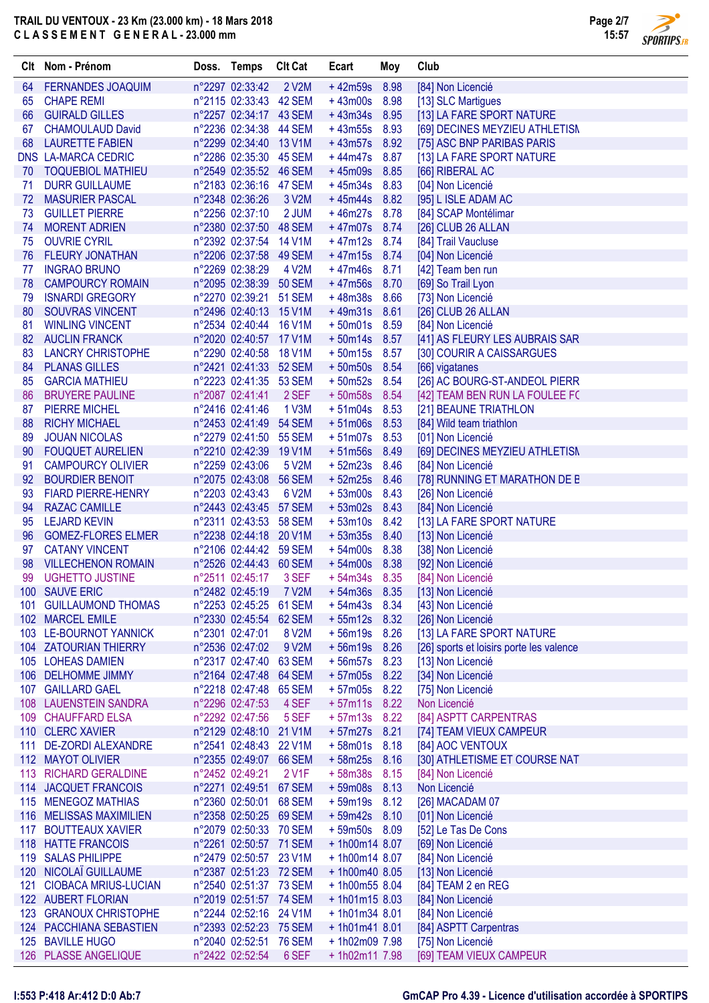

 $\overline{\phantom{a}}$ **SPORTIPS.FR** 

|          | Clt Nom - Prénom                                 | Doss. Temps |                                           | <b>Clt Cat</b>                 | Ecart                          | Moy          | Club                                     |
|----------|--------------------------------------------------|-------------|-------------------------------------------|--------------------------------|--------------------------------|--------------|------------------------------------------|
| 64       | <b>FERNANDES JOAQUIM</b>                         |             | n°2297 02:33:42                           | 2 V2M                          | $+42m59s$                      | 8.98         | [84] Non Licencié                        |
| 65       | <b>CHAPE REMI</b>                                |             | n°2115 02:33:43 42 SEM                    |                                | $+43m00s$                      | 8.98         | [13] SLC Martigues                       |
| 66       | <b>GUIRALD GILLES</b>                            |             | n°2257 02:34:17 43 SEM                    |                                | $+43m34s$                      | 8.95         | [13] LA FARE SPORT NATURE                |
| 67       | <b>CHAMOULAUD David</b>                          |             | n°2236 02:34:38 44 SEM                    |                                | $+43m55s$                      | 8.93         | [69] DECINES MEYZIEU ATHLETISM           |
| 68       | <b>LAURETTE FABIEN</b>                           |             | n°2299 02:34:40                           | 13 V1M                         | $+43m57s$                      | 8.92         | [75] ASC BNP PARIBAS PARIS               |
|          | <b>DNS LA-MARCA CEDRIC</b>                       |             | n°2286 02:35:30 45 SEM                    |                                | $+44m47s$                      | 8.87         | [13] LA FARE SPORT NATURE                |
| 70       | <b>TOQUEBIOL MATHIEU</b>                         |             | n°2549 02:35:52 46 SEM                    |                                | $+45m09s$                      | 8.85         | [66] RIBERAL AC                          |
| 71       | <b>DURR GUILLAUME</b>                            |             | n°2183 02:36:16 47 SEM                    |                                | $+45m34s$                      | 8.83         | [04] Non Licencié                        |
| 72       | <b>MASURIER PASCAL</b>                           |             | n°2348 02:36:26                           | 3 V2M                          | $+45m44s$                      | 8.82         | [95] L ISLE ADAM AC                      |
| 73       | <b>GUILLET PIERRE</b>                            |             | n°2256 02:37:10                           | 2 JUM                          | $+46m27s$                      | 8.78         | [84] SCAP Montélimar                     |
| 74       | <b>MORENT ADRIEN</b>                             |             | n°2380 02:37:50 48 SEM                    |                                | $+47m07s$                      | 8.74         | [26] CLUB 26 ALLAN                       |
| 75       | <b>OUVRIE CYRIL</b>                              |             | n°2392 02:37:54 14 V1M                    |                                | $+47m12s$                      | 8.74         | [84] Trail Vaucluse                      |
| 76       | <b>FLEURY JONATHAN</b>                           |             | n°2206 02:37:58 49 SEM                    |                                | $+47m15s$                      | 8.74         | [04] Non Licencié                        |
| 77       | <b>INGRAO BRUNO</b>                              |             | n°2269 02:38:29                           | 4 V2M                          | $+47m46s$                      | 8.71         | [42] Team ben run                        |
| 78       | <b>CAMPOURCY ROMAIN</b>                          |             | n°2095 02:38:39<br>n°2270 02:39:21        | <b>50 SEM</b><br><b>51 SEM</b> | $+47m56s$<br>$+48m38s$         | 8.70<br>8.66 | [69] So Trail Lyon<br>[73] Non Licencié  |
| 79<br>80 | <b>ISNARDI GREGORY</b><br><b>SOUVRAS VINCENT</b> |             | n°2496 02:40:13 15 V1M                    |                                | $+49m31s$ 8.61                 |              |                                          |
| 81       | <b>WINLING VINCENT</b>                           |             | n°2534 02:40:44 16 V1M                    |                                | $+50m01s$                      | 8.59         | [26] CLUB 26 ALLAN<br>[84] Non Licencié  |
| 82       | <b>AUCLIN FRANCK</b>                             |             | n°2020 02:40:57 17 V1M                    |                                | $+50m14s$                      | 8.57         | [41] AS FLEURY LES AUBRAIS SAR           |
| 83       | <b>LANCRY CHRISTOPHE</b>                         |             | n°2290 02:40:58 18 V1M                    |                                | $+50m15s$                      | 8.57         | [30] COURIR A CAISSARGUES                |
| 84       | <b>PLANAS GILLES</b>                             |             | n°2421 02:41:33 52 SEM                    |                                | $+50m50s$                      | 8.54         | [66] vigatanes                           |
| 85       | <b>GARCIA MATHIEU</b>                            |             | n°2223 02:41:35 53 SEM                    |                                | $+50m52s$                      | 8.54         | [26] AC BOURG-ST-ANDEOL PIERR            |
| 86       | <b>BRUYERE PAULINE</b>                           |             | n°2087 02:41:41                           | 2 SEF                          | $+50m58s$                      | 8.54         | [42] TEAM BEN RUN LA FOULEE FC           |
| 87       | <b>PIERRE MICHEL</b>                             |             | n°2416 02:41:46                           | 1 V3M                          | $+51m04s$                      | 8.53         | [21] BEAUNE TRIATHLON                    |
| 88       | <b>RICHY MICHAEL</b>                             |             | n°2453 02:41:49                           | <b>54 SEM</b>                  | $+51m06s$                      | 8.53         | [84] Wild team triathlon                 |
| 89       | <b>JOUAN NICOLAS</b>                             |             | n°2279 02:41:50 55 SEM                    |                                | $+51m07s$                      | 8.53         | [01] Non Licencié                        |
| 90       | <b>FOUQUET AURELIEN</b>                          |             | n°2210 02:42:39 19 V1M                    |                                | $+51m56s$                      | 8.49         | [69] DECINES MEYZIEU ATHLETISN           |
| 91       | <b>CAMPOURCY OLIVIER</b>                         |             | n°2259 02:43:06                           | 5 V2M                          | $+52m23s$                      | 8.46         | [84] Non Licencié                        |
| 92       | <b>BOURDIER BENOIT</b>                           |             | n°2075 02:43:08                           | <b>56 SEM</b>                  | $+52m25s$                      | 8.46         | [78] RUNNING ET MARATHON DE E            |
| 93       | <b>FIARD PIERRE-HENRY</b>                        |             | n°2203 02:43:43                           | 6 V2M                          | $+53m00s$                      | 8.43         | [26] Non Licencié                        |
| 94       | <b>RAZAC CAMILLE</b>                             |             | n°2443 02:43:45                           | <b>57 SEM</b>                  | $+53m02s$                      | 8.43         | [84] Non Licencié                        |
| 95       | <b>LEJARD KEVIN</b>                              |             | n°2311 02:43:53 58 SEM                    |                                | $+53m10s$                      | 8.42         | [13] LA FARE SPORT NATURE                |
| 96       | <b>GOMEZ-FLORES ELMER</b>                        |             | n°2238 02:44:18 20 V1M                    |                                | $+53m35s$                      | 8.40         | [13] Non Licencié                        |
| 97       | <b>CATANY VINCENT</b>                            |             | n°2106 02:44:42 59 SEM                    |                                | $+54m00s$                      | 8.38         | [38] Non Licencié                        |
| 98       | <b>VILLECHENON ROMAIN</b>                        |             | n°2526 02:44:43 60 SEM                    |                                | $+54m00s$                      | 8.38         | [92] Non Licencié                        |
| 99       | <b>UGHETTO JUSTINE</b>                           |             | n°2511 02:45:17                           | 3 SEF                          | $+54m34s$                      | 8.35         | [84] Non Licencié                        |
|          | 100 SAUVE ERIC                                   |             | n°2482 02:45:19                           | 7 V2M                          |                                |              | + 54m36s 8.35 [13] Non Licencié          |
| 101      | <b>GUILLAUMOND THOMAS</b>                        |             | n°2253 02:45:25 61 SEM                    |                                | $+54m43s$ 8.34                 |              | [43] Non Licencié                        |
|          | 102 MARCEL EMILE                                 |             | n°2330 02:45:54 62 SEM                    |                                | $+55m12s$ 8.32                 |              | [26] Non Licencié                        |
|          | 103 LE-BOURNOT YANNICK                           |             | n°2301 02:47:01                           | 8 V2M                          | $+56m19s$                      | 8.26         | [13] LA FARE SPORT NATURE                |
|          | 104 ZATOURIAN THIERRY<br>105 LOHEAS DAMIEN       |             | n°2536 02:47:02<br>n°2317 02:47:40 63 SEM | 9 V2M                          | +56m19s 8.26<br>$+56m57s$ 8.23 |              | [26] sports et loisirs porte les valence |
| 106      | <b>DELHOMME JIMMY</b>                            |             | n°2164 02:47:48                           | 64 SEM                         | $+57m05s$                      | 8.22         | [13] Non Licencié<br>[34] Non Licencié   |
| 107      | <b>GAILLARD GAEL</b>                             |             | n°2218 02:47:48 65 SEM                    |                                | $+57m05s$                      | 8.22         | [75] Non Licencié                        |
| 108      | <b>LAUENSTEIN SANDRA</b>                         |             | n°2296 02:47:53                           | 4 SEF                          | $+57m11s$                      | 8.22         | Non Licencié                             |
| 109      | <b>CHAUFFARD ELSA</b>                            |             | n°2292 02:47:56                           | 5 SEF                          | $+57m13s$                      | 8.22         | [84] ASPTT CARPENTRAS                    |
|          | 110 CLERC XAVIER                                 |             | n°2129 02:48:10 21 V1M                    |                                | $+57m27s$                      | 8.21         | [74] TEAM VIEUX CAMPEUR                  |
| 111      | <b>DE-ZORDI ALEXANDRE</b>                        |             | n°2541 02:48:43 22 V1M                    |                                | $+58m01s$                      | 8.18         | [84] AOC VENTOUX                         |
|          | 112 MAYOT OLIVIER                                |             | n°2355 02:49:07 66 SEM                    |                                | $+58m25s$                      | 8.16         | [30] ATHLETISME ET COURSE NAT            |
| 113      | <b>RICHARD GERALDINE</b>                         |             | n°2452 02:49:21                           | 2 V1F                          | $+58m38s$                      | 8.15         | [84] Non Licencié                        |
|          | 114 JACQUET FRANCOIS                             |             | n°2271 02:49:51 67 SEM                    |                                | $+59m08s$                      | 8.13         | Non Licencié                             |
|          | 115 MENEGOZ MATHIAS                              |             | n°2360 02:50:01 68 SEM                    |                                | $+59m19s$                      | 8.12         | [26] MACADAM 07                          |
| 116      | <b>MELISSAS MAXIMILIEN</b>                       |             | n°2358 02:50:25 69 SEM                    |                                | $+59m42s$ 8.10                 |              | [01] Non Licencié                        |
|          | 117 BOUTTEAUX XAVIER                             |             | n°2079 02:50:33 70 SEM                    |                                | $+59m50s$                      | 8.09         | [52] Le Tas De Cons                      |
|          | 118 HATTE FRANCOIS                               |             | n°2261 02:50:57 71 SEM                    |                                | + 1h00m14 8.07                 |              | [69] Non Licencié                        |
|          | 119 SALAS PHILIPPE                               |             | n°2479 02:50:57 23 V1M                    |                                | $+1h00m14$ 8.07                |              | [84] Non Licencié                        |
|          | 120 NICOLAÏ GUILLAUME                            |             | n°2387 02:51:23 72 SEM                    |                                | + 1h00m40 8.05                 |              | [13] Non Licencié                        |
|          | 121 CIOBACA MRIUS-LUCIAN                         |             | n°2540 02:51:37 73 SEM                    |                                | + 1h00m55 8.04                 |              | [84] TEAM 2 en REG                       |
|          | 122 AUBERT FLORIAN                               |             | n°2019 02:51:57 74 SEM                    |                                | $+1h01m158.03$                 |              | [84] Non Licencié                        |
|          | 123 GRANOUX CHRISTOPHE                           |             | n°2244 02:52:16 24 V1M                    |                                | $+1h01m348.01$                 |              | [84] Non Licencié                        |
|          | 124 PACCHIANA SEBASTIEN                          |             | n°2393 02:52:23 75 SEM                    |                                | $+1h01m418.01$                 |              | [84] ASPTT Carpentras                    |
| 125      | <b>BAVILLE HUGO</b>                              |             | n°2040 02:52:51 76 SEM                    |                                | + 1h02m09 7.98                 |              | [75] Non Licencié                        |
|          | 126 PLASSE ANGELIQUE                             |             | n°2422 02:52:54                           | 6 SEF                          | + 1h02m11 7.98                 |              | [69] TEAM VIEUX CAMPEUR                  |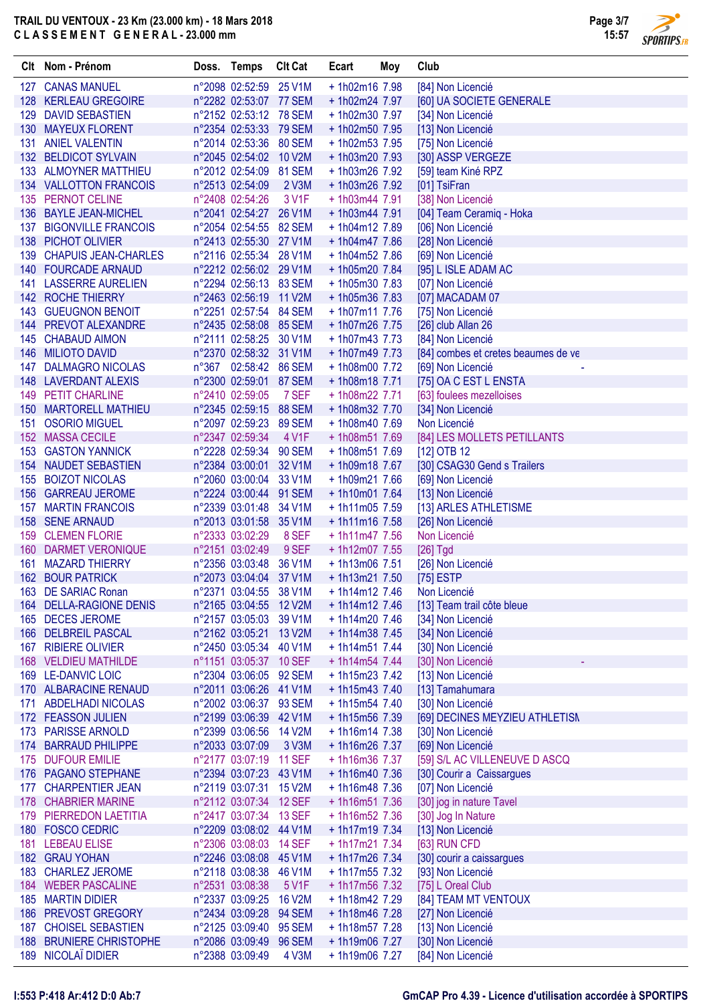

**SPORTIPS.FR** 

|     | Clt Nom - Prénom                      | Doss. Temps                                      | <b>Clt Cat</b> | Ecart                             | Moy | Club                                       |
|-----|---------------------------------------|--------------------------------------------------|----------------|-----------------------------------|-----|--------------------------------------------|
|     | 127 CANAS MANUEL                      | n°2098 02:52:59 25 V1M                           |                | +1h02m16 7.98                     |     | [84] Non Licencié                          |
|     | 128 KERLEAU GREGOIRE                  | n°2282 02:53:07 77 SEM                           |                | + 1h02m24 7.97                    |     | [60] UA SOCIETE GENERALE                   |
|     | 129 DAVID SEBASTIEN                   | n°2152 02:53:12 78 SEM                           |                | +1h02m30 7.97                     |     | [34] Non Licencié                          |
|     | 130 MAYEUX FLORENT                    | n°2354 02:53:33 79 SEM                           |                | + 1h02m50 7.95                    |     | [13] Non Licencié                          |
|     | 131 ANIEL VALENTIN                    | n°2014 02:53:36 80 SEM                           |                | + 1h02m53 7.95                    |     | [75] Non Licencié                          |
|     | 132 BELDICOT SYLVAIN                  | n°2045 02:54:02 10 V2M                           |                | + 1h03m20 7.93                    |     | [30] ASSP VERGEZE                          |
|     | 133 ALMOYNER MATTHIEU                 | n°2012 02:54:09 81 SEM                           |                | + 1h03m26 7.92                    |     | [59] team Kiné RPZ                         |
|     | 134 VALLOTTON FRANCOIS                | n°2513 02:54:09                                  | 2 V3M          | + 1h03m26 7.92                    |     | [01] TsiFran                               |
|     | 135 PERNOT CELINE                     | n°2408 02:54:26                                  | 3 V1F          | $+ 1h03m447.91$                   |     | [38] Non Licencié                          |
|     | 136 BAYLE JEAN-MICHEL                 | n°2041 02:54:27 26 V1M                           |                | $+ 1h03m447.91$                   |     | [04] Team Ceramiq - Hoka                   |
|     | 137 BIGONVILLE FRANCOIS               | n°2054 02:54:55 82 SEM                           |                | + 1h04m12 7.89                    |     | [06] Non Licencié                          |
|     | 138 PICHOT OLIVIER                    | n°2413 02:55:30 27 V1M                           |                | + 1h04m47 7.86                    |     | [28] Non Licencié                          |
|     | 139 CHAPUIS JEAN-CHARLES              | n°2116 02:55:34 28 V1M                           |                | + 1h04m52 7.86                    |     | [69] Non Licencié                          |
|     | 140 FOURCADE ARNAUD                   | n°2212 02:56:02 29 V1M                           |                | + 1h05m20 7.84                    |     | [95] L ISLE ADAM AC                        |
|     | 141 LASSERRE AURELIEN                 | n°2294 02:56:13 83 SEM                           |                | $+1h05m307.83$                    |     | [07] Non Licencié                          |
|     | 142 ROCHE THIERRY                     | n°2463 02:56:19 11 V2M                           |                | $+1h05m367.83$                    |     | [07] MACADAM 07                            |
|     | 143 GUEUGNON BENOIT                   | n°2251 02:57:54 84 SEM                           |                | $+1h07m117.76$                    |     | [75] Non Licencié                          |
|     | 144 PREVOT ALEXANDRE                  | n°2435 02:58:08 85 SEM                           |                | + 1h07m26 7.75                    |     | [26] club Allan 26                         |
| 145 | <b>CHABAUD AIMON</b>                  | n°2111 02:58:25 30 V1M                           |                | $+1h07m437.73$                    |     | [84] Non Licencié                          |
|     | 146 MILIOTO DAVID                     | n°2370 02:58:32 31 V1M                           |                | + 1h07m49 7.73                    |     | [84] combes et cretes beaumes de ve        |
| 147 | <b>DALMAGRO NICOLAS</b>               | n°367 02:58:42 86 SEM                            |                | +1h08m00 7.72                     |     | [69] Non Licencié                          |
| 148 | <b>LAVERDANT ALEXIS</b>               | n°2300 02:59:01 87 SEM                           |                | +1h08m18 7.71                     |     | [75] OA C EST L ENSTA                      |
|     | 149 PETIT CHARLINE                    | n°2410 02:59:05                                  | 7 SEF          | +1h08m22 7.71                     |     | [63] foulees mezelloises                   |
|     | <b>150 MARTORELL MATHIEU</b>          | n°2345 02:59:15                                  | <b>88 SEM</b>  | +1h08m32 7.70                     |     | [34] Non Licencié                          |
|     | 151 OSORIO MIGUEL<br>152 MASSA CECILE | n°2097 02:59:23 89 SEM<br>n°2347 02:59:34        | 4 V1F          | + 1h08m40 7.69                    |     | Non Licencié                               |
|     | <b>153 GASTON YANNICK</b>             | n°2228 02:59:34 90 SEM                           |                | + 1h08m51 7.69<br>+1h08m51 7.69   |     | [84] LES MOLLETS PETILLANTS                |
|     | 154 NAUDET SEBASTIEN                  | n°2384 03:00:01 32 V1M                           |                | +1h09m18 7.67                     |     | [12] OTB 12<br>[30] CSAG30 Gend s Trailers |
| 155 | <b>BOIZOT NICOLAS</b>                 | n°2060 03:00:04                                  | 33 V1M         | + 1h09m21 7.66                    |     | [69] Non Licencié                          |
|     | 156 GARREAU JEROME                    | n°2224 03:00:44 91 SEM                           |                | $+1h10m017.64$                    |     | [13] Non Licencié                          |
|     | <b>157 MARTIN FRANCOIS</b>            | n°2339 03:01:48                                  | 34 V1M         | $+1h11m05$ 7.59                   |     | [13] ARLES ATHLETISME                      |
|     | 158 SENE ARNAUD                       | n°2013 03:01:58 35 V1M                           |                | $+1h11m167.58$                    |     | [26] Non Licencié                          |
|     | 159 CLEMEN FLORIE                     | n°2333 03:02:29                                  | 8 SEF          | $+1h11m477.56$                    |     | Non Licencié                               |
|     | 160 DARMET VERONIQUE                  | n°2151 03:02:49                                  | 9 SEF          | + 1h12m07 7.55                    |     | $[26]$ Tgd                                 |
| 161 | <b>MAZARD THIERRY</b>                 | n°2356 03:03:48                                  | 36 V1M         | $+1h13m06$ 7.51                   |     | [26] Non Licencié                          |
|     | <b>162 BOUR PATRICK</b>               | n°2073 03:04:04 37 V1M                           |                | $+1h13m217.50$                    |     | $[75]$ ESTP                                |
| 163 | <b>DE SARIAC Ronan</b>                | n°2371 03:04:55 38 V1M                           |                | $+1h14m127.46$                    |     | Non Licencié                               |
|     | 164 DELLA-RAGIONE DENIS               | n°2165 03:04:55 12 V2M                           |                | $+1h14m127.46$                    |     | [13] Team trail côte bleue                 |
|     | 165 DECES JEROME                      | n°2157 03:05:03 39 V1M                           |                | $+1h14m207.46$                    |     | [34] Non Licencié                          |
|     | 166 DELBREIL PASCAL                   | n°2162 03:05:21 13 V2M                           |                | $+1h14m38$ 7.45                   |     | [34] Non Licencié                          |
|     | 167 RIBIERE OLIVIER                   | n°2450 03:05:34 40 V1M                           |                | $+1h14m517.44$                    |     | [30] Non Licencié                          |
|     | 168 VELDIEU MATHILDE                  | n°1151 03:05:37 10 SEF                           |                | $+1h14m547.44$                    |     | [30] Non Licencié                          |
|     | 169 LE-DANVIC LOIC                    | n°2304 03:06:05 92 SEM                           |                | $+1h15m237.42$                    |     | [13] Non Licencié                          |
|     | 170 ALBARACINE RENAUD                 | n°2011 03:06:26 41 V1M                           |                | $+1h15m437.40$                    |     | [13] Tamahumara                            |
|     | 171 ABDELHADI NICOLAS                 | n°2002 03:06:37 93 SEM                           |                | $+1h15m547.40$                    |     | [30] Non Licencié                          |
|     | 172 FEASSON JULIEN                    | n°2199 03:06:39 42 V1M                           |                | $+1h15m567.39$                    |     | [69] DECINES MEYZIEU ATHLETISN             |
| 173 | <b>PARISSE ARNOLD</b>                 | n°2399 03:06:56 14 V2M                           |                | $+1h16m147.38$                    |     | [30] Non Licencié                          |
|     | 174 BARRAUD PHILIPPE                  | n°2033 03:07:09                                  | 3 V3M          | +1h16m26 7.37                     |     | [69] Non Licencié                          |
|     | 175 DUFOUR EMILIE                     | n°2177 03:07:19 11 SEF                           |                | +1h16m36 7.37                     |     | [59] S/L AC VILLENEUVE D ASCQ              |
|     | 176 PAGANO STEPHANE                   | n°2394 03:07:23 43 V1M                           |                | $+1h16m407.36$                    |     | [30] Courir a Caissargues                  |
|     | 177 CHARPENTIER JEAN                  | n°2119 03:07:31 15 V2M                           |                | $+1h16m48$ 7.36                   |     | [07] Non Licencié                          |
|     | 178 CHABRIER MARINE                   | n°2112 03:07:34 12 SEF                           |                | $+1h16m517.36$                    |     | [30] jog in nature Tavel                   |
|     | 179 PIERREDON LAETITIA                | n°2417 03:07:34 13 SEF                           |                | + 1h16m52 7.36                    |     | [30] Jog In Nature                         |
|     | 180 FOSCO CEDRIC<br>181 LEBEAU ELISE  | n°2209 03:08:02 44 V1M<br>n°2306 03:08:03 14 SEF |                | $+1h17m197.34$<br>$+1h17m21$ 7.34 |     | [13] Non Licencié                          |
|     | 182 GRAU YOHAN                        | n°2246 03:08:08 45 V1M                           |                | + 1h17m26 7.34                    |     | [63] RUN CFD<br>[30] courir a caissargues  |
|     | 183 CHARLEZ JEROME                    | n°2118 03:08:38 46 V1M                           |                | $+1h17m557.32$                    |     | [93] Non Licencié                          |
|     | 184 WEBER PASCALINE                   | n°2531 03:08:38                                  | 5 V1F          | + 1h17m56 7.32                    |     | [75] L Oreal Club                          |
|     | 185 MARTIN DIDIER                     | n°2337 03:09:25 16 V2M                           |                | + 1h18m42 7.29                    |     | [84] TEAM MT VENTOUX                       |
|     | 186 PREVOST GREGORY                   | n°2434 03:09:28 94 SEM                           |                | +1h18m46 7.28                     |     | [27] Non Licencié                          |
|     | 187 CHOISEL SEBASTIEN                 | n°2125 03:09:40 95 SEM                           |                | + 1h18m57 7.28                    |     | [13] Non Licencié                          |
|     | 188 BRUNIERE CHRISTOPHE               | n°2086 03:09:49 96 SEM                           |                | +1h19m06 7.27                     |     | [30] Non Licencié                          |
|     | 189 NICOLAÏ DIDIER                    | n°2388 03:09:49                                  | 4 V3M          | +1h19m06 7.27                     |     | [84] Non Licencié                          |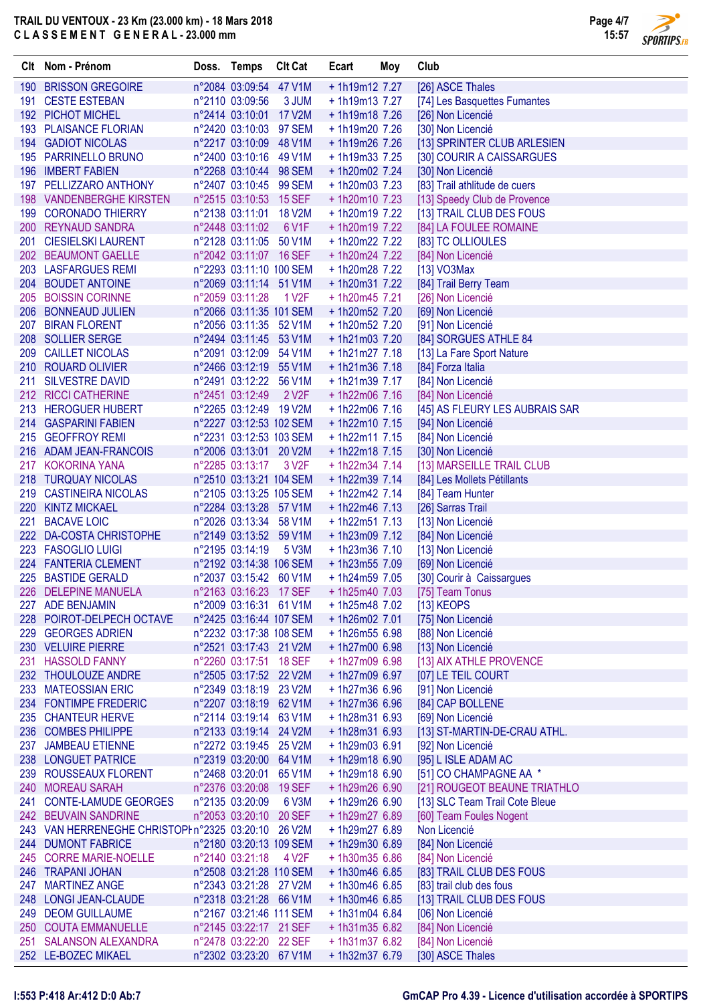

 $\overline{\phantom{a}}$ 

|     | Clt Nom - Prénom                                    | Doss. Temps                                       | <b>Clt Cat</b>     | Ecart                             | Moy | Club                                              |
|-----|-----------------------------------------------------|---------------------------------------------------|--------------------|-----------------------------------|-----|---------------------------------------------------|
|     | 190 BRISSON GREGOIRE                                | n°2084 03:09:54 47 V1M                            |                    | + 1h19m12 7.27                    |     | [26] ASCE Thales                                  |
|     | 191 CESTE ESTEBAN                                   | n°2110 03:09:56                                   | 3 JUM              | $+1h19m137.27$                    |     | [74] Les Basquettes Fumantes                      |
|     | 192 PICHOT MICHEL                                   | n°2414 03:10:01 17 V2M                            |                    | $+1h19m187.26$                    |     | [26] Non Licencié                                 |
|     | 193 PLAISANCE FLORIAN                               | n°2420 03:10:03 97 SEM                            |                    | + 1h19m20 7.26                    |     | [30] Non Licencié                                 |
|     | 194 GADIOT NICOLAS                                  | n°2217 03:10:09 48 V1M                            |                    | +1h19m26 7.26                     |     | [13] SPRINTER CLUB ARLESIEN                       |
|     | 195 PARRINELLO BRUNO                                | n°2400 03:10:16 49 V1M                            |                    | $+1h19m337.25$                    |     | [30] COURIR A CAISSARGUES                         |
|     | 196 IMBERT FABIEN                                   | n°2268 03:10:44 98 SEM                            |                    | +1h20m02 7.24                     |     | [30] Non Licencié                                 |
|     | 197 PELLIZZARO ANTHONY                              | n°2407 03:10:45 99 SEM                            |                    | $+1h20m03$ 7.23                   |     | [83] Trail athlitude de cuers                     |
|     | 198 VANDENBERGHE KIRSTEN                            | n°2515 03:10:53 15 SEF                            |                    | $+1h20m107.23$                    |     | [13] Speedy Club de Provence                      |
|     | 199 CORONADO THIERRY                                | n°2138 03:11:01 18 V2M                            | 6 V <sub>1</sub> F | + 1h20m19 7.22                    |     | [13] TRAIL CLUB DES FOUS                          |
|     | 200 REYNAUD SANDRA<br>201 CIESIELSKI LAURENT        | n°2448 03:11:02<br>n°2128 03:11:05 50 V1M         |                    | + 1h20m19 7.22<br>+ 1h20m22 7.22  |     | [84] LA FOULEE ROMAINE<br>[83] TC OLLIOULES       |
|     | 202 BEAUMONT GAELLE                                 | n°2042 03:11:07 16 SEF                            |                    | + 1h20m24 7.22                    |     | [84] Non Licencié                                 |
|     | 203 LASFARGUES REMI                                 | n°2293 03:11:10 100 SEM                           |                    | + 1h20m28 7.22                    |     | $[13]$ VO3Max                                     |
|     | 204 BOUDET ANTOINE                                  | n°2069 03:11:14 51 V1M                            |                    | $+1h20m317.22$                    |     | [84] Trail Berry Team                             |
|     | 205 BOISSIN CORINNE                                 | n°2059 03:11:28                                   | 1 V2F              | $+1h20m45$ 7.21                   |     | [26] Non Licencié                                 |
|     | 206 BONNEAUD JULIEN                                 | n°2066 03:11:35 101 SEM                           |                    | + 1h20m52 7.20                    |     | [69] Non Licencié                                 |
|     | 207 BIRAN FLORENT                                   | n°2056 03:11:35 52 V1M                            |                    | + 1h20m52 7.20                    |     | [91] Non Licencié                                 |
|     | 208 SOLLIER SERGE                                   | n°2494 03:11:45 53 V1M                            |                    | $+1h21m03$ 7.20                   |     | [84] SORGUES ATHLE 84                             |
|     | 209 CAILLET NICOLAS                                 | n°2091 03:12:09 54 V1M                            |                    | $+1h21m277.18$                    |     | [13] La Fare Sport Nature                         |
|     | 210 ROUARD OLIVIER                                  | n°2466 03:12:19 55 V1M                            |                    | $+1h21m367.18$                    |     | [84] Forza Italia                                 |
|     | 211 SILVESTRE DAVID                                 | n°2491 03:12:22 56 V1M                            |                    | $+1h21m397.17$                    |     | [84] Non Licencié                                 |
|     | 212 RICCI CATHERINE                                 | n°2451 03:12:49                                   | 2 V <sub>2</sub> F | $+ 1h22m06$ 7.16                  |     | [84] Non Licencié                                 |
|     | 213 HEROGUER HUBERT                                 | n°2265 03:12:49 19 V2M                            |                    | $+1h22m06$ 7.16                   |     | [45] AS FLEURY LES AUBRAIS SAR                    |
|     | 214 GASPARINI FABIEN                                | n°2227 03:12:53 102 SEM                           |                    | $+1h22m107.15$                    |     | [94] Non Licencié                                 |
|     | 215 GEOFFROY REMI                                   | n°2231 03:12:53 103 SEM                           |                    | $+1h22m117.15$                    |     | [84] Non Licencié                                 |
|     | 216 ADAM JEAN-FRANCOIS                              | n°2006 03:13:01 20 V2M                            |                    | $+1h22m18$ 7.15                   |     | [30] Non Licencié                                 |
|     | 217 KOKORINA YANA                                   | n°2285 03:13:17                                   | 3 V <sub>2</sub> F | $+ 1h22m34 7.14$                  |     | [13] MARSEILLE TRAIL CLUB                         |
|     | 218 TURQUAY NICOLAS                                 | n°2510 03:13:21 104 SEM                           |                    | $+ 1h22m39$ 7.14                  |     | [84] Les Mollets Pétillants                       |
|     | 219 CASTINEIRA NICOLAS<br>220 KINTZ MICKAEL         | n°2105 03:13:25 105 SEM<br>n°2284 03:13:28 57 V1M |                    | $+1h22m42$ 7.14<br>$+1h22m467.13$ |     | [84] Team Hunter                                  |
| 221 | <b>BACAVE LOIC</b>                                  | n°2026 03:13:34 58 V1M                            |                    | $+1h22m517.13$                    |     | [26] Sarras Trail<br>[13] Non Licencié            |
|     | 222 DA-COSTA CHRISTOPHE                             | n°2149 03:13:52 59 V1M                            |                    | $+1h23m09$ 7.12                   |     | [84] Non Licencié                                 |
|     | 223 FASOGLIO LUIGI                                  | n°2195 03:14:19                                   | 5 V3M              | $+1h23m367.10$                    |     | [13] Non Licencié                                 |
|     | 224 FANTERIA CLEMENT                                | n°2192 03:14:38 106 SEM                           |                    | + 1h23m55 7.09                    |     | [69] Non Licencié                                 |
|     | 225 BASTIDE GERALD                                  | n°2037 03:15:42 60 V1M                            |                    | $+ 1h24m597.05$                   |     | [30] Courir à Caissargues                         |
|     | 226 DELEPINE MANUELA                                | n°2163 03:16:23 17 SEF                            |                    | + 1h25m40 7.03                    |     | [75] Team Tonus                                   |
|     | 227 ADE BENJAMIN                                    | n°2009 03:16:31 61 V1M                            |                    | + 1h25m48 7.02                    |     | $[13]$ KEOPS                                      |
|     | 228 POIROT-DELPECH OCTAVE                           | n°2425 03:16:44 107 SEM                           |                    | $+1h26m02$ 7.01                   |     | [75] Non Licencié                                 |
|     | 229 GEORGES ADRIEN                                  | n°2232 03:17:38 108 SEM                           |                    | + 1h26m55 6.98                    |     | [88] Non Licencié                                 |
|     | 230 VELUIRE PIERRE                                  | n°2521 03:17:43 21 V2M                            |                    | $+1h27m00$ 6.98                   |     | [13] Non Licencié                                 |
|     | 231 HASSOLD FANNY                                   | n°2260 03:17:51 18 SEF                            |                    | $+ 1h27m096.98$                   |     | [13] AIX ATHLE PROVENCE                           |
|     | 232 THOULOUZE ANDRE                                 | n°2505 03:17:52 22 V2M                            |                    | + 1h27m09 6.97                    |     | [07] LE TEIL COURT                                |
|     | 233 MATEOSSIAN ERIC                                 | n°2349 03:18:19 23 V2M                            |                    | + 1h27m36 6.96                    |     | [91] Non Licencié                                 |
|     | 234 FONTIMPE FREDERIC<br>235 CHANTEUR HERVE         | n°2207 03:18:19 62 V1M<br>n°2114 03:19:14 63 V1M  |                    | + 1h27m36 6.96                    |     | [84] CAP BOLLENE                                  |
|     | 236 COMBES PHILIPPE                                 | n°2133 03:19:14 24 V2M                            |                    | $+1h28m316.93$<br>$+1h28m316.93$  |     | [69] Non Licencié<br>[13] ST-MARTIN-DE-CRAU ATHL. |
|     | 237 JAMBEAU ETIENNE                                 | n°2272 03:19:45 25 V2M                            |                    | $+1h29m036.91$                    |     | [92] Non Licencié                                 |
|     | 238 LONGUET PATRICE                                 | n°2319 03:20:00 64 V1M                            |                    | $+1h29m18$ 6.90                   |     | [95] L ISLE ADAM AC                               |
|     | 239 ROUSSEAUX FLORENT                               | n°2468 03:20:01 65 V1M                            |                    | +1h29m18 6.90                     |     | [51] CO CHAMPAGNE AA *                            |
|     | 240 MOREAU SARAH                                    | n°2376 03:20:08 19 SEF                            |                    | + 1h29m26 6.90                    |     | [21] ROUGEOT BEAUNE TRIATHLO                      |
|     | 241 CONTE-LAMUDE GEORGES                            | n°2135 03:20:09                                   | 6 V3M              | + 1h29m26 6.90                    |     | [13] SLC Team Trail Cote Bleue                    |
|     | 242 BEUVAIN SANDRINE                                | n°2053 03:20:10 20 SEF                            |                    | + 1h29m27 6.89                    |     | [60] Team Foules Nogent                           |
|     | 243 VAN HERRENEGHE CHRISTOPI n°2325 03:20:10 26 V2M |                                                   |                    | + 1h29m27 6.89                    |     | Non Licencié                                      |
|     | 244 DUMONT FABRICE                                  | n°2180 03:20:13 109 SEM                           |                    | + 1h29m30 6.89                    |     | [84] Non Licencié                                 |
|     | 245 CORRE MARIE-NOELLE                              | n°2140 03:21:18                                   | 4 V2F              | + 1h30m35 6.86                    |     | [84] Non Licencié                                 |
|     | 246 TRAPANI JOHAN                                   | n°2508 03:21:28 110 SEM                           |                    | $+1h30m466.85$                    |     | [83] TRAIL CLUB DES FOUS                          |
|     | 247 MARTINEZ ANGE                                   | n°2343 03:21:28 27 V2M                            |                    | +1h30m46 6.85                     |     | [83] trail club des fous                          |
|     | 248 LONGI JEAN-CLAUDE                               | n°2318 03:21:28 66 V1M                            |                    | $+1h30m466.85$                    |     | [13] TRAIL CLUB DES FOUS                          |
|     | 249 DEOM GUILLAUME                                  | n°2167 03:21:46 111 SEM                           |                    | $+1h31m046.84$                    |     | [06] Non Licencié                                 |
|     | 250 COUTA EMMANUELLE                                | n°2145 03:22:17 21 SEF                            |                    | $+1h31m356.82$                    |     | [84] Non Licencié                                 |
|     | 251 SALANSON ALEXANDRA<br>252 LE-BOZEC MIKAEL       | n°2478 03:22:20 22 SEF                            |                    | + 1h31m37 6.82                    |     | [84] Non Licencié                                 |
|     |                                                     | n°2302 03:23:20 67 V1M                            |                    | + 1h32m37 6.79                    |     | [30] ASCE Thales                                  |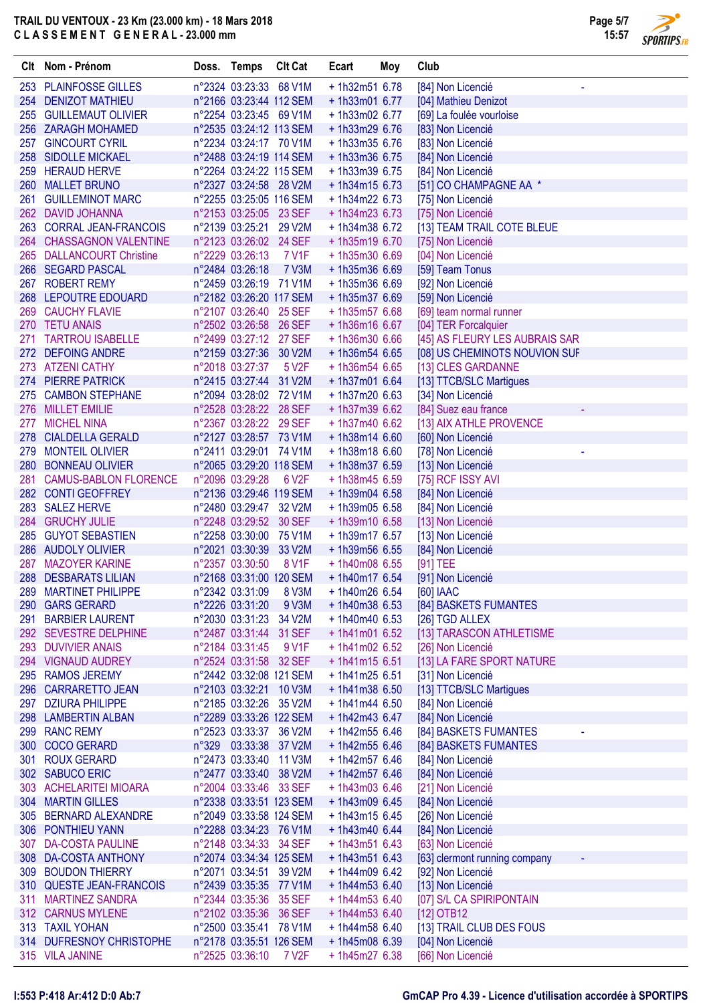

**SPORTIPS.FR** 

|     | Clt Nom - Prénom                            | Doss. Temps                                        | <b>Clt Cat</b> | Ecart                             | Moy | Club                                   |
|-----|---------------------------------------------|----------------------------------------------------|----------------|-----------------------------------|-----|----------------------------------------|
|     | 253 PLAINFOSSE GILLES                       | n°2324 03:23:33 68 V1M                             |                | + 1h32m51 6.78                    |     | [84] Non Licencié<br>٠                 |
|     | 254 DENIZOT MATHIEU                         | n°2166 03:23:44 112 SEM                            |                | + 1h33m01 6.77                    |     | [04] Mathieu Denizot                   |
|     | 255 GUILLEMAUT OLIVIER                      | n°2254 03:23:45 69 V1M                             |                | $+ 1h33m02 6.77$                  |     | [69] La foulée vourloise               |
|     | 256 ZARAGH MOHAMED                          | n°2535 03:24:12 113 SEM                            |                | + 1h33m29 6.76                    |     | [83] Non Licencié                      |
|     | 257 GINCOURT CYRIL                          | n°2234 03:24:17 70 V1M                             |                | $+1h33m356.76$                    |     | [83] Non Licencié                      |
|     | 258 SIDOLLE MICKAEL                         | n°2488 03:24:19 114 SEM                            |                | + 1h33m36 6.75                    |     | [84] Non Licencié                      |
|     | 259 HERAUD HERVE                            | n°2264 03:24:22 115 SEM                            |                | $+ 1h33m396.75$                   |     | [84] Non Licencié                      |
|     | 260 MALLET BRUNO                            | n°2327 03:24:58 28 V2M                             |                | $+1h34m156.73$                    |     | [51] CO CHAMPAGNE AA *                 |
|     | 261 GUILLEMINOT MARC                        | n°2255 03:25:05 116 SEM                            |                | + 1h34m22 6.73                    |     | [75] Non Licencié                      |
|     | 262 DAVID JOHANNA                           | n°2153 03:25:05 23 SEF                             |                | $+ 1h34m236.73$                   |     | [75] Non Licencié                      |
|     | 263 CORRAL JEAN-FRANCOIS                    | n°2139 03:25:21 29 V2M                             |                | + 1h34m38 6.72                    |     | [13] TEAM TRAIL COTE BLEUE             |
|     | 264 CHASSAGNON VALENTINE                    | n°2123 03:26:02 24 SEF                             |                | $+1h35m196.70$                    |     | [75] Non Licencié                      |
|     | 265 DALLANCOURT Christine                   | n°2229 03:26:13                                    | 7 V1F          | + 1h35m30 6.69                    |     | [04] Non Licencié                      |
|     | 266 SEGARD PASCAL<br>267 ROBERT REMY        | n°2484 03:26:18<br>n°2459 03:26:19 71 V1M          | <b>7 V3M</b>   | + 1h35m36 6.69<br>+ 1h35m36 6.69  |     | [59] Team Tonus<br>[92] Non Licencié   |
|     | 268 LEPOUTRE EDOUARD                        | n°2182 03:26:20 117 SEM                            |                | + 1h35m37 6.69                    |     | [59] Non Licencié                      |
| 269 | <b>CAUCHY FLAVIE</b>                        | n°2107 03:26:40 25 SEF                             |                | + 1h35m57 6.68                    |     | [69] team normal runner                |
|     | 270 TETU ANAIS                              | n°2502 03:26:58 26 SEF                             |                | + 1h36m16 6.67                    |     | [04] TER Forcalquier                   |
| 271 | <b>TARTROU ISABELLE</b>                     | n°2499 03:27:12 27 SEF                             |                | + 1h36m30 6.66                    |     | [45] AS FLEURY LES AUBRAIS SAR         |
|     | 272 DEFOING ANDRE                           | n°2159 03:27:36 30 V2M                             |                | $+1h36m546.65$                    |     | [08] US CHEMINOTS NOUVION SUF          |
| 273 | <b>ATZENI CATHY</b>                         | n°2018 03:27:37                                    | 5 V2F          | + 1h36m54 6.65                    |     | [13] CLES GARDANNE                     |
|     | 274 PIERRE PATRICK                          | n°2415 03:27:44 31 V2M                             |                | $+1h37m016.64$                    |     | [13] TTCB/SLC Martigues                |
| 275 | <b>CAMBON STEPHANE</b>                      | n°2094 03:28:02 72 V1M                             |                | $+1h37m206.63$                    |     | [34] Non Licencié                      |
|     | 276 MILLET EMILIE                           | n°2528 03:28:22 28 SEF                             |                | + 1h37m39 6.62                    |     | [84] Suez eau france                   |
|     | 277 MICHEL NINA                             | n°2367 03:28:22 29 SEF                             |                | $+ 1h37m406.62$                   |     | [13] AIX ATHLE PROVENCE                |
|     | 278 CIALDELLA GERALD                        | n°2127 03:28:57 73 V1M                             |                | $+1h38m146.60$                    |     | [60] Non Licencié                      |
|     | 279 MONTEIL OLIVIER                         | n°2411 03:29:01 74 V1M                             |                | +1h38m18 6.60                     |     | [78] Non Licencié                      |
|     | 280 BONNEAU OLIVIER                         | n°2065 03:29:20 118 SEM                            |                | + 1h38m37 6.59                    |     | [13] Non Licencié                      |
|     | 281 CAMUS-BABLON FLORENCE                   | n°2096 03:29:28                                    | 6 V2F          | + 1h38m45 6.59                    |     | [75] RCF ISSY AVI                      |
|     | 282 CONTI GEOFFREY                          | n°2136 03:29:46 119 SEM                            |                | + 1h39m04 6.58                    |     | [84] Non Licencié                      |
|     | 283 SALEZ HERVE                             | n°2480 03:29:47 32 V2M                             |                | + 1h39m05 6.58                    |     | [84] Non Licencié                      |
|     | 284 GRUCHY JULIE                            | n°2248 03:29:52 30 SEF                             |                | + 1h39m10 6.58                    |     | [13] Non Licencié                      |
|     | 285 GUYOT SEBASTIEN                         | n°2258 03:30:00 75 V1M                             |                | $+1h39m176.57$<br>+ 1h39m56 6.55  |     | [13] Non Licencié                      |
| 287 | 286 AUDOLY OLIVIER<br><b>MAZOYER KARINE</b> | n°2021 03:30:39 33 V2M<br>n°2357 03:30:50          | 8 V1F          | + 1h40m08 6.55                    |     | [84] Non Licencié<br>[91] TEE          |
|     | 288 DESBARATS LILIAN                        | n°2168 03:31:00 120 SEM                            |                | + 1h40m17 6.54                    |     | [91] Non Licencié                      |
|     | 289 MARTINET PHILIPPE                       | n°2342 03:31:09                                    | 8 V3M          | + 1h40m26 6.54                    |     | [60] IAAC                              |
|     | 290 GARS GERARD                             | n°2226 03:31:20                                    | 9 V3M          | $+ 1h40m386.53$                   |     | [84] BASKETS FUMANTES                  |
| 291 | <b>BARBIER LAURENT</b>                      | n°2030 03:31:23 34 V2M                             |                | $+1h40m406.53$                    |     | [26] TGD ALLEX                         |
|     | 292 SEVESTRE DELPHINE                       | n°2487 03:31:44 31 SEF                             |                | $+1h41m016.52$                    |     | [13] TARASCON ATHLETISME               |
|     | 293 DUVIVIER ANAIS                          | n°2184 03:31:45                                    | 9 V1F          | $+1h41m026.52$                    |     | [26] Non Licencié                      |
|     | 294 VIGNAUD AUDREY                          | n°2524 03:31:58 32 SEF                             |                | $+1h41m156.51$                    |     | [13] LA FARE SPORT NATURE              |
|     | 295 RAMOS JEREMY                            | n°2442 03:32:08 121 SEM                            |                | $+1h41m256.51$                    |     | [31] Non Licencié                      |
|     | 296 CARRARETTO JEAN                         | n°2103 03:32:21 10 V3M                             |                | $+1h41m386.50$                    |     | [13] TTCB/SLC Martigues                |
|     | 297 DZIURA PHILIPPE                         | n°2185 03:32:26 35 V2M                             |                | $+1h41m446.50$                    |     | [84] Non Licencié                      |
|     | 298 LAMBERTIN ALBAN                         | n°2289 03:33:26 122 SEM                            |                | $+ 1h42m436.47$                   |     | [84] Non Licencié                      |
|     | 299 RANC REMY                               | n°2523 03:33:37 36 V2M                             |                | + 1h42m55 6.46                    |     | [84] BASKETS FUMANTES                  |
|     | 300 COCO GERARD                             | n°329 03:33:38 37 V2M                              |                | $+1h42m556.46$                    |     | [84] BASKETS FUMANTES                  |
|     | 301 ROUX GERARD                             | n°2473 03:33:40 11 V3M                             |                | $+1h42m576.46$                    |     | [84] Non Licencié                      |
|     | 302 SABUCO ERIC                             | n°2477 03:33:40 38 V2M                             |                | $+1h42m576.46$                    |     | [84] Non Licencié                      |
|     | 303 ACHELARITEI MIOARA                      | n°2004 03:33:46 33 SEF                             |                | $+ 1h43m03$ 6.46                  |     | [21] Non Licencié                      |
|     | 304 MARTIN GILLES<br>305 BERNARD ALEXANDRE  | n°2338 03:33:51 123 SEM<br>n°2049 03:33:58 124 SEM |                | $+ 1h43m096.45$<br>$+1h43m156.45$ |     | [84] Non Licencié                      |
|     | 306 PONTHIEU YANN                           | n°2288 03:34:23 76 V1M                             |                | $+1h43m406.44$                    |     | [26] Non Licencié<br>[84] Non Licencié |
|     | 307 DA-COSTA PAULINE                        | n°2148 03:34:33 34 SEF                             |                | $+ 1h43m516.43$                   |     | [63] Non Licencié                      |
|     | 308 DA-COSTA ANTHONY                        | n°2074 03:34:34 125 SEM                            |                | $+1h43m516.43$                    |     | [63] clermont running company          |
|     | 309 BOUDON THIERRY                          | n°2071 03:34:51 39 V2M                             |                | $+1h44m096.42$                    |     | [92] Non Licencié                      |
|     | 310 QUESTE JEAN-FRANCOIS                    | n°2439 03:35:35 77 V1M                             |                | $+ 1h44m536.40$                   |     | [13] Non Licencié                      |
|     | 311 MARTINEZ SANDRA                         | n°2344 03:35:36 35 SEF                             |                | $+ 1h44m536.40$                   |     | [07] S/L CA SPIRIPONTAIN               |
|     | 312 CARNUS MYLENE                           | n°2102 03:35:36 36 SEF                             |                | $+ 1h44m536.40$                   |     | [12] OTB12                             |
|     | 313 TAXIL YOHAN                             | n°2500 03:35:41 78 V1M                             |                | $+1h44m586.40$                    |     | [13] TRAIL CLUB DES FOUS               |
|     | 314 DUFRESNOY CHRISTOPHE                    | n°2178 03:35:51 126 SEM                            |                | $+1h45m08$ 6.39                   |     | [04] Non Licencié                      |
|     | 315 VILA JANINE                             | n°2525 03:36:10                                    | 7 V2F          | $+1h45m276.38$                    |     | [66] Non Licencié                      |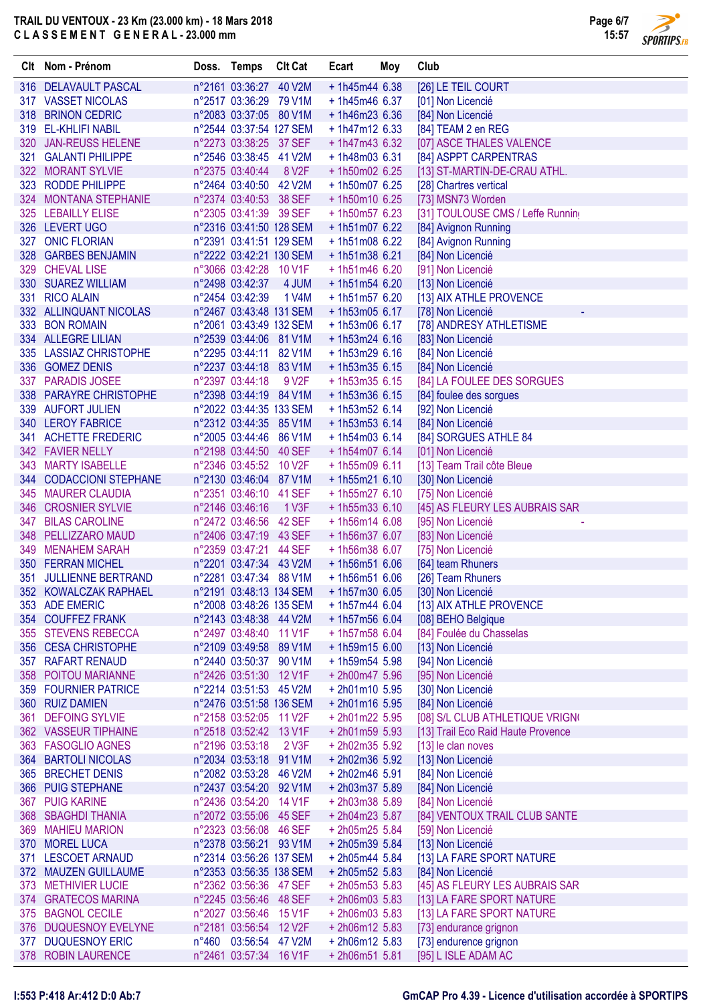

**SPORTIPS.FR** 

| Clt Nom - Prénom                          | Doss. Temps Clt Cat                                |                    | Ecart                             | Moy | Club                                                |
|-------------------------------------------|----------------------------------------------------|--------------------|-----------------------------------|-----|-----------------------------------------------------|
| 316 DELAVAULT PASCAL                      | n°2161 03:36:27 40 V2M                             |                    | $+1h45m446.38$                    |     | [26] LE TEIL COURT                                  |
| 317 VASSET NICOLAS                        | n°2517 03:36:29 79 V1M                             |                    | $+1h45m466.37$                    |     | [01] Non Licencié                                   |
| 318 BRINON CEDRIC                         | n°2083 03:37:05 80 V1M                             |                    | $+1h46m236.36$                    |     | [84] Non Licencié                                   |
| 319 EL-KHLIFI NABIL                       | n°2544 03:37:54 127 SEM                            |                    | $+1h47m126.33$                    |     | [84] TEAM 2 en REG                                  |
| 320 JAN-REUSS HELENE                      | n°2273 03:38:25 37 SEF                             |                    | $+1h47m436.32$                    |     | [07] ASCE THALES VALENCE                            |
| 321 GALANTI PHILIPPE                      | n°2546 03:38:45 41 V2M                             |                    | $+1h48m036.31$                    |     | [84] ASPPT CARPENTRAS                               |
| 322 MORANT SYLVIE                         | n°2375 03:40:44                                    | 8 V <sub>2</sub> F | + 1h50m02 6.25                    |     | [13] ST-MARTIN-DE-CRAU ATHL.                        |
| 323 RODDE PHILIPPE                        | n°2464 03:40:50 42 V2M                             |                    | $+1h50m076.25$                    |     | [28] Chartres vertical                              |
| 324 MONTANA STEPHANIE                     | n°2374 03:40:53 38 SEF                             |                    | $+1h50m10$ 6.25                   |     | [73] MSN73 Worden                                   |
| 325 LEBAILLY ELISE                        | n°2305 03:41:39 39 SEF                             |                    | $+1h50m576.23$                    |     | [31] TOULOUSE CMS / Leffe Running                   |
| 326 LEVERT UGO<br>327 ONIC FLORIAN        | n°2316 03:41:50 128 SEM<br>n°2391 03:41:51 129 SEM |                    | $+1h51m076.22$<br>$+1h51m08$ 6.22 |     | [84] Avignon Running                                |
| 328 GARBES BENJAMIN                       | n°2222 03:42:21 130 SEM                            |                    | $+1h51m38$ 6.21                   |     | [84] Avignon Running<br>[84] Non Licencié           |
| 329 CHEVAL LISE                           | n°3066 03:42:28 10 V1F                             |                    | $+1h51m46$ 6.20                   |     | [91] Non Licencié                                   |
| 330 SUAREZ WILLIAM                        | n°2498 03:42:37 4 JUM                              |                    | $+1h51m546.20$                    |     | [13] Non Licencié                                   |
| 331 RICO ALAIN                            | n°2454 03:42:39                                    | 1 V4M              | $+1h51m576.20$                    |     | [13] AIX ATHLE PROVENCE                             |
| 332 ALLINQUANT NICOLAS                    | n°2467 03:43:48 131 SEM                            |                    | $+1h53m056.17$                    |     | [78] Non Licencié                                   |
| 333 BON ROMAIN                            | n°2061 03:43:49 132 SEM                            |                    | $+1h53m06$ 6.17                   |     | [78] ANDRESY ATHLETISME                             |
| 334 ALLEGRE LILIAN                        | n°2539 03:44:06 81 V1M                             |                    | $+1h53m24$ 6.16                   |     | [83] Non Licencié                                   |
| 335 LASSIAZ CHRISTOPHE                    | n°2295 03:44:11 82 V1M                             |                    | $+1h53m296.16$                    |     | [84] Non Licencié                                   |
| 336 GOMEZ DENIS                           | n°2237 03:44:18 83 V1M                             |                    | $+1h53m356.15$                    |     | [84] Non Licencié                                   |
| 337 PARADIS JOSEE                         | n°2397 03:44:18                                    | 9 V <sub>2</sub> F | $+1h53m356.15$                    |     | [84] LA FOULEE DES SORGUES                          |
| 338 PARAYRE CHRISTOPHE                    | n°2398 03:44:19 84 V1M                             |                    | $+1h53m366.15$                    |     | [84] foulee des sorgues                             |
| 339 AUFORT JULIEN                         | n°2022 03:44:35 133 SEM                            |                    | $+ 1h53m52 6.14$                  |     | [92] Non Licencié                                   |
| 340 LEROY FABRICE                         | n°2312 03:44:35 85 V1M                             |                    | $+ 1h53m536.14$                   |     | [84] Non Licencié                                   |
| 341 ACHETTE FREDERIC                      | n°2005 03:44:46 86 V1M                             |                    | $+1h54m036.14$                    |     | [84] SORGUES ATHLE 84                               |
| 342 FAVIER NELLY                          | n°2198 03:44:50 40 SEF                             |                    | $+1h54m076.14$                    |     | [01] Non Licencié                                   |
| 343 MARTY ISABELLE                        | n°2346 03:45:52 10 V2F                             |                    | $+1h55m096.11$                    |     | [13] Team Trail côte Bleue                          |
| 344 CODACCIONI STEPHANE                   | n°2130 03:46:04 87 V1M                             |                    | $+1h55m216.10$                    |     | [30] Non Licencié                                   |
| 345 MAURER CLAUDIA                        | n°2351 03:46:10 41 SEF                             |                    | $+1h55m276.10$                    |     | [75] Non Licencié                                   |
| 346 CROSNIER SYLVIE<br>347 BILAS CAROLINE | n°2146 03:46:16<br>n°2472 03:46:56 42 SEF          | 1 <sup>V3F</sup>   | $+1h55m336.10$<br>$+1h56m146.08$  |     | [45] AS FLEURY LES AUBRAIS SAR<br>[95] Non Licencié |
| 348 PELLIZZARO MAUD                       | n°2406 03:47:19 43 SEF                             |                    | + 1h56m37 6.07                    |     | [83] Non Licencié                                   |
| 349 MENAHEM SARAH                         | n°2359 03:47:21 44 SEF                             |                    | $+1h56m386.07$                    |     | [75] Non Licencié                                   |
| 350 FERRAN MICHEL                         | n°2201 03:47:34 43 V2M                             |                    | $+1h56m516.06$                    |     | [64] team Rhuners                                   |
| 351 JULLIENNE BERTRAND                    | n°2281 03:47:34 88 V1M                             |                    | $+1h56m516.06$                    |     | [26] Team Rhuners                                   |
| 352 KOWALCZAK RAPHAEL                     | n°2191 03:48:13 134 SEM                            |                    |                                   |     | + 1h57m30 6.05 [30] Non Licencié                    |
| 353 ADE EMERIC                            | n°2008 03:48:26 135 SEM                            |                    | $+1h57m446.04$                    |     | [13] AIX ATHLE PROVENCE                             |
| 354 COUFFEZ FRANK                         | n°2143 03:48:38 44 V2M                             |                    | $+1h57m566.04$                    |     | [08] BEHO Belgique                                  |
| 355 STEVENS REBECCA                       | n°2497 03:48:40 11 V1F                             |                    | $+1h57m58$ 6.04                   |     | [84] Foulée du Chasselas                            |
| 356 CESA CHRISTOPHE                       | n°2109 03:49:58 89 V1M                             |                    | $+1h59m156.00$                    |     | [13] Non Licencié                                   |
| 357 RAFART RENAUD                         | n°2440 03:50:37 90 V1M                             |                    | $+1h59m545.98$                    |     | [94] Non Licencié                                   |
| 358 POITOU MARIANNE                       | n°2426 03:51:30 12 V1F                             |                    | +2h00m47 5.96                     |     | [95] Non Licencié                                   |
| 359 FOURNIER PATRICE                      | n°2214 03:51:53 45 V2M                             |                    | $+ 2h01m10$ 5.95                  |     | [30] Non Licencié                                   |
| 360 RUIZ DAMIEN                           | n°2476 03:51:58 136 SEM                            |                    | $+ 2h01m16$ 5.95                  |     | [84] Non Licencié                                   |
| 361 DEFOING SYLVIE                        | n°2158 03:52:05 11 V2F                             |                    | +2h01m22 5.95                     |     | [08] S/L CLUB ATHLETIQUE VRIGN(                     |
| 362 VASSEUR TIPHAINE                      | n°2518 03:52:42 13 V1F                             |                    | $+ 2h01m595.93$                   |     | [13] Trail Eco Raid Haute Provence                  |
| 363 FASOGLIO AGNES                        | n°2196 03:53:18                                    | 2 V3F              | + 2h02m35 5.92                    |     | [13] le clan noves                                  |
| 364 BARTOLI NICOLAS<br>365 BRECHET DENIS  | n°2034 03:53:18 91 V1M<br>n°2082 03:53:28 46 V2M   |                    | + 2h02m36 5.92<br>+2h02m46 5.91   |     | [13] Non Licencié<br>[84] Non Licencié              |
| 366 PUIG STEPHANE                         | n°2437 03:54:20 92 V1M                             |                    | +2h03m37 5.89                     |     | [84] Non Licencié                                   |
| 367 PUIG KARINE                           | n°2436 03:54:20 14 V1F                             |                    | +2h03m38 5.89                     |     | [84] Non Licencié                                   |
| 368 SBAGHDI THANIA                        | n°2072 03:55:06 45 SEF                             |                    | +2h04m23 5.87                     |     | [84] VENTOUX TRAIL CLUB SANTE                       |
| 369 MAHIEU MARION                         | n°2323 03:56:08 46 SEF                             |                    | +2h05m25 5.84                     |     | [59] Non Licencié                                   |
| 370 MOREL LUCA                            | n°2378 03:56:21 93 V1M                             |                    | +2h05m39 5.84                     |     | [13] Non Licencié                                   |
| 371 LESCOET ARNAUD                        | n°2314 03:56:26 137 SEM                            |                    | +2h05m44 5.84                     |     | [13] LA FARE SPORT NATURE                           |
| 372 MAUZEN GUILLAUME                      | n°2353 03:56:35 138 SEM                            |                    | $+ 2h05m525.83$                   |     | [84] Non Licencié                                   |
| 373 METHIVIER LUCIE                       | n°2362 03:56:36 47 SEF                             |                    | $+ 2h05m535.83$                   |     | [45] AS FLEURY LES AUBRAIS SAR                      |
| 374 GRATECOS MARINA                       | n°2245 03:56:46 48 SEF                             |                    | $+ 2h06m035.83$                   |     | [13] LA FARE SPORT NATURE                           |
| 375 BAGNOL CECILE                         | n°2027 03:56:46 15 V1F                             |                    | $+ 2h06m035.83$                   |     | [13] LA FARE SPORT NATURE                           |
| 376 DUQUESNOY EVELYNE                     | n°2181 03:56:54 12 V2F                             |                    | $+ 2h06m12$ 5.83                  |     | [73] endurance grignon                              |
| 377 DUQUESNOY ERIC                        | n°460 03:56:54 47 V2M                              |                    | $+ 2h06m12$ 5.83                  |     | [73] endurence grignon                              |
| 378 ROBIN LAURENCE                        | n°2461 03:57:34 16 V1F                             |                    | +2h06m51 5.81                     |     | [95] L ISLE ADAM AC                                 |

#### **I:553 P:418 Ar:412 D:0 Ab:7 GmCAP Pro 4.39 - Licence d'utilisation accordée à SPORTIPS**